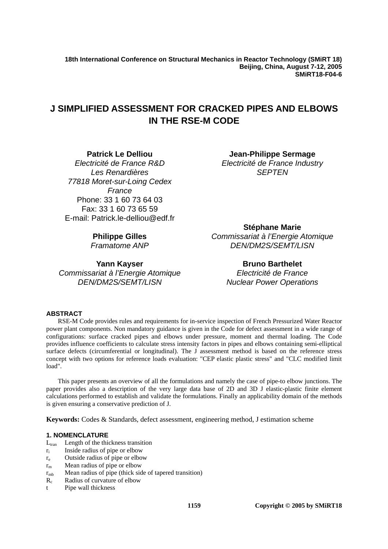**18th International Conference on Structural Mechanics in Reactor Technology (SMiRT 18) Beijing, China, August 7-12, 2005 SMiRT18-F04-6** 

# **J SIMPLIFIED ASSESSMENT FOR CRACKED PIPES AND ELBOWS IN THE RSE-M CODE**

# **Patrick Le Delliou**

*Electricité de France R&D Les Renardières 77818 Moret-sur-Loing Cedex France*  Phone: 33 1 60 73 64 03 Fax: 33 1 60 73 65 59 E-mail: Patrick.le-delliou@edf.fr

**Jean-Philippe Sermage**  *Electricité de France Industry SEPTEN* 

# **Philippe Gilles**

*Framatome ANP*

**Yann Kayser**  *Commissariat à l'Energie Atomique DEN/DM2S/SEMT/LISN*

**Stéphane Marie**  *Commissariat à l'Energie Atomique DEN/DM2S/SEMT/LISN*

> **Bruno Barthelet**  *Electricité de France Nuclear Power Operations*

# **ABSTRACT**

RSE-M Code provides rules and requirements for in-service inspection of French Pressurized Water Reactor power plant components. Non mandatory guidance is given in the Code for defect assessment in a wide range of configurations: surface cracked pipes and elbows under pressure, moment and thermal loading. The Code provides influence coefficients to calculate stress intensity factors in pipes and elbows containing semi-elliptical surface defects (circumferential or longitudinal). The J assessment method is based on the reference stress concept with two options for reference loads evaluation: "CEP elastic plastic stress" and "CLC modified limit load".

This paper presents an overview of all the formulations and namely the case of pipe-to elbow junctions. The paper provides also a description of the very large data base of 2D and 3D J elastic-plastic finite element calculations performed to establish and validate the formulations. Finally an applicability domain of the methods is given ensuring a conservative prediction of J.

**Keywords:** Codes & Standards, defect assessment, engineering method, J estimation scheme

### **1. NOMENCLATURE**

- $L_{tran}$  Length of the thickness transition
- ri Inside radius of pipe or elbow
- re Outside radius of pipe or elbow
- $r<sub>m</sub>$  Mean radius of pipe or elbow
- $r<sub>mb</sub>$  Mean radius of pipe (thick side of tapered transition)
- R<sub>c</sub> Radius of curvature of elbow
- t Pipe wall thickness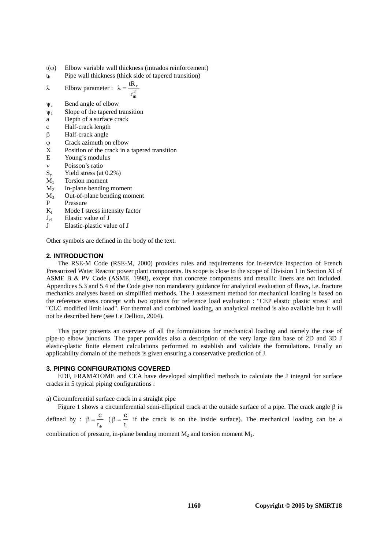- $t(\varphi)$  Elbow variable wall thickness (intrados reinforcement)
- $t<sub>b</sub>$  Pipe wall thickness (thick side of tapered transition)

$$
\lambda
$$
 Elbow parameter :  $\lambda = \frac{tR_c}{r_m^2}$ 

- $\psi_c$  Bend angle of elbow
- $\Psi_1$  Slope of the tapered transition
- a Depth of a surface crack
- c Half-crack length
- β Half-crack angle
- ϕ Crack azimuth on elbow
- X Position of the crack in a tapered transition
- E Young's modulus
- ν Poisson's ratio
- $S_v$  Yield stress (at 0.2%)
- $M_1$  Torsion moment
- $M<sub>2</sub>$  In-plane bending moment
- M3 Out-of-plane bending moment
- P Pressure
- $K_I$  Mode I stress intensity factor
- $J<sub>el</sub>$  Elastic value of J<br>I Elastic plastic va
- Elastic-plastic value of J

Other symbols are defined in the body of the text.

#### **2. INTRODUCTION**

The RSE-M Code (RSE-M, 2000) provides rules and requirements for in-service inspection of French Pressurized Water Reactor power plant components. Its scope is close to the scope of Division 1 in Section XI of ASME B & PV Code (ASME, 1998), except that concrete components and metallic liners are not included. Appendices 5.3 and 5.4 of the Code give non mandatory guidance for analytical evaluation of flaws, i.e. fracture mechanics analyses based on simplified methods. The J assessment method for mechanical loading is based on the reference stress concept with two options for reference load evaluation : "CEP elastic plastic stress" and "CLC modified limit load". For thermal and combined loading, an analytical method is also available but it will not be described here (see Le Delliou, 2004).

This paper presents an overview of all the formulations for mechanical loading and namely the case of pipe-to elbow junctions. The paper provides also a description of the very large data base of 2D and 3D J elastic-plastic finite element calculations performed to establish and validate the formulations. Finally an applicability domain of the methods is given ensuring a conservative prediction of J.

#### **3. PIPING CONFIGURATIONS COVERED**

EDF, FRAMATOME and CEA have developed simplified methods to calculate the J integral for surface cracks in 5 typical piping configurations :

a) Circumferential surface crack in a straight pipe

Figure 1 shows a circumferential semi-elliptical crack at the outside surface of a pipe. The crack angle β is defined by :  $\beta = \frac{c}{c}$  $\frac{c}{r_e}$  ( $\beta = \frac{c}{r_i}$  if the crack is on the inside surface). The mechanical loading can be a ri

combination of pressure, in-plane bending moment  $M_2$  and torsion moment  $M_1$ .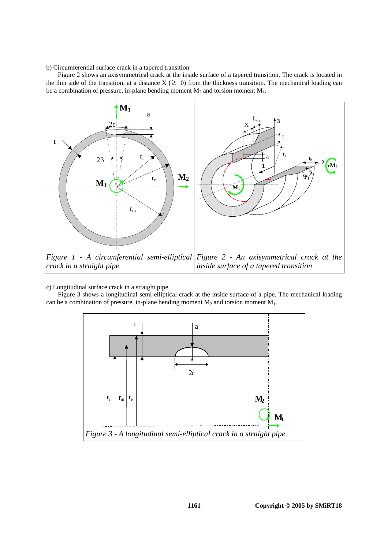b) Circumferential surface crack in a tapered transition

Figure 2 shows an axisymmetrical crack at the inside surface of a tapered transition. The crack is located in the thin side of the transition, at a distance  $X$  ( $\geq 0$ ) from the thickness transition. The mechanical loading can be a combination of pressure, in-plane bending moment  $M_2$  and torsion moment  $M_1$ .



#### c) Longitudinal surface crack in a straight pipe

Figure 3 shows a longitudinal semi-elliptical crack at the inside surface of a pipe. The mechanical loading can be a combination of pressure, in-plane bending moment  $M_2$  and torsion moment  $M_1$ .

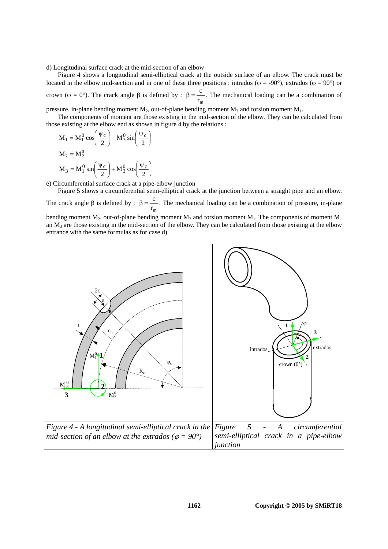d) Longitudinal surface crack at the mid-section of an elbow

Figure 4 shows a longitudinal semi-elliptical crack at the outside surface of an elbow. The crack must be located in the elbow mid-section and in one of these three positions : intrados ( $\varphi = -90^{\circ}$ ), extrados ( $\varphi = 90^{\circ}$ ) or crown (φ = 0°). The crack angle β is defined by :  $β = \frac{c}{c}$  $\frac{C}{r_m}$ . The mechanical loading can be a combination of

pressure, in-plane bending moment  $M_2$ , out-of-plane bending moment  $M_3$  and torsion moment  $M_1$ .

The components of moment are those existing in the mid-section of the elbow. They can be calculated from those existing at the elbow end as shown in figure 4 by the relations :

$$
M_1 = M_1^0 \cos\left(\frac{\Psi_c}{2}\right) - M_3^0 \sin\left(\frac{\Psi_c}{2}\right)
$$
  

$$
M_2 = M_2^0
$$
  

$$
M_3 = M_1^0 \sin\left(\frac{\Psi_c}{2}\right) + M_3^0 \cos\left(\frac{\Psi_c}{2}\right)
$$

e) Circumferential surface crack at a pipe-elbow junction

Figure 5 shows a circumferential semi-elliptical crack at the junction between a straight pipe and an elbow.

The crack angle  $\beta$  is defined by :  $\beta = \frac{c}{\alpha}$  $\frac{C}{r_m}$ . The mechanical loading can be a combination of pressure, in-plane

bending moment  $M_2$ , out-of-plane bending moment  $M_3$  and torsion moment  $M_1$ . The components of moment  $M_1$ an  $M_3$  are those existing in the mid-section of the elbow. They can be calculated from those existing at the elbow entrance with the same formulas as for case d).

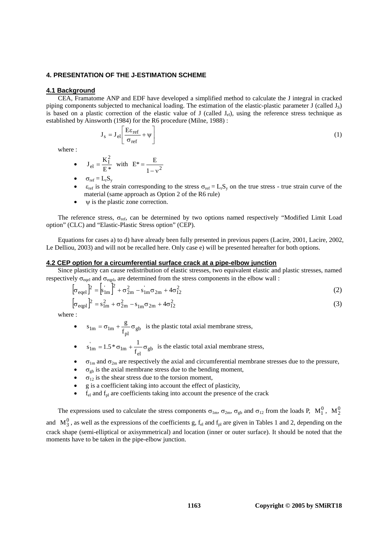# **4. PRESENTATION OF THE J-ESTIMATION SCHEME**

#### **4.1 Background**

CEA, Framatome ANP and EDF have developed a simplified method to calculate the J integral in cracked piping components subjected to mechanical loading. The estimation of the elastic-plastic parameter J (called  $J_s$ ) is based on a plastic correction of the elastic value of J (called  $J_{el}$ ), using the reference stress technique as established by Ainsworth (1984) for the R6 procedure (Milne, 1988) :

$$
J_s = J_{el} \left[ \frac{E \varepsilon_{ref}}{\sigma_{ref}} + \psi \right]
$$
 (1)

where :

• 
$$
J_{el} = \frac{K_1^2}{E^*}
$$
 with  $E^* = \frac{E}{1 - v^2}$ 

- $\sigma_{\rm ref} = L_{\rm r}S_{\rm v}$
- $\varepsilon_{\text{ref}}$  is the strain corresponding to the stress  $\sigma_{\text{ref}} = L_r S_v$  on the true stress true strain curve of the material (same approach as Option 2 of the R6 rule)
- $\psi$  is the plastic zone correction.

The reference stress,  $\sigma_{\text{ref}}$ , can be determined by two options named respectively "Modified Limit Load option" (CLC) and "Elastic-Plastic Stress option" (CEP).

Equations for cases a) to d) have already been fully presented in previous papers (Lacire, 2001, Lacire, 2002, Le Delliou, 2003) and will not be recalled here. Only case e) will be presented hereafter for both options.

#### **4.2 CEP option for a circumferential surface crack at a pipe-elbow junction**

Since plasticity can cause redistribution of elastic stresses, two equivalent elastic and plastic stresses, named respectively  $\sigma_{\text{eqel}}$  and  $\sigma_{\text{eqpl}}$ , are determined from the stress components in the elbow wall :

$$
\left[\sigma_{\text{eqel}}\right]^2 = \left[s_{1\text{m}}\right]^2 + \sigma_{2\text{m}}^2 - s_{1\text{m}}\sigma_{2\text{m}} + 4\sigma_{12}^2\tag{2}
$$

$$
\left[\sigma_{\text{eqpl}}\right]^2 = s_{1m}^2 + \sigma_{2m}^2 - s_{1m}\sigma_{2m} + 4\sigma_{12}^2\tag{3}
$$

where :

- $s_{lm} = \sigma_{lm} + \frac{g}{f_{pl}} \sigma_{gb}$  is the plastic total axial membrane stress,
- $s'_{\text{lm}} = 1.5 * \sigma_{\text{lm}} + \frac{1}{f_{\text{el}}} \sigma_{\text{gb}}$  is the elastic total axial membrane stress,
- $\sigma_{1m}$  and  $\sigma_{2m}$  are respectively the axial and circumferential membrane stresses due to the pressure,
- $\sigma_{\rm ob}$  is the axial membrane stress due to the bending moment,
- $\sigma_{12}$  is the shear stress due to the torsion moment,
- g is a coefficient taking into account the effect of plasticity,
- $f_{el}$  and  $f_{pl}$  are coefficients taking into account the presence of the crack

The expressions used to calculate the stress components  $\sigma_{lm}$ ,  $\sigma_{2m}$ ,  $\sigma_{gb}$  and  $\sigma_{12}$  from the loads P,  $M_1^0$ ,  $M_2^0$ and  $M_3^0$ , as well as the expressions of the coefficients g,  $f_{el}$  and  $f_{pl}$  are given in Tables 1 and 2, depending on the crack shape (semi-elliptical or axisymmetrical) and location (inner or outer surface). It should be noted that the moments have to be taken in the pipe-elbow junction.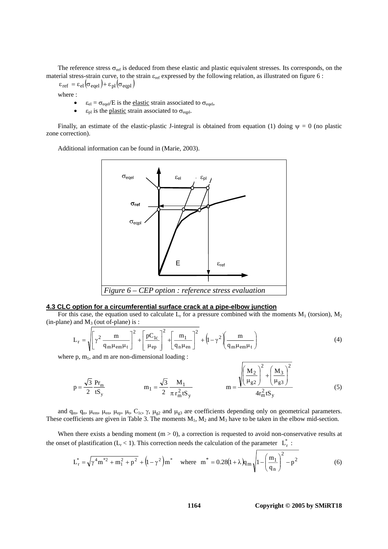The reference stress  $\sigma_{ref}$  is deduced from these elastic and plastic equivalent stresses. Its corresponds, on the material stress-strain curve, to the strain  $\varepsilon_{ref}$  expressed by the following relation, as illustrated on figure 6 :

 $\varepsilon_{\text{ref}} = \varepsilon_{\text{el}} \big( \sigma_{\text{eqel}} \big) + \varepsilon_{\text{pl}} \big( \sigma_{\text{eqpl}} \big)$ 

where :

- $\varepsilon_{el} = \sigma_{eqel}/E$  is the <u>elastic</u> strain associated to  $\sigma_{eqel}$ ,
- $\varepsilon_{\text{pl}}$  is the plastic strain associated to  $\sigma_{\text{eqpl}}$ .

Finally, an estimate of the elastic-plastic J-integral is obtained from equation (1) doing  $\psi = 0$  (no plastic zone correction).

Additional information can be found in (Marie, 2003).



#### **4.3 CLC option for a circumferential surface crack at a pipe-elbow junction**

For this case, the equation used to calculate  $L_r$  for a pressure combined with the moments  $M_1$  (torsion),  $M_2$  $(in-plane)$  and  $M_3$  (out of-plane) is :

$$
L_{r} = \sqrt{\left[\gamma^{2} \frac{m}{q_{m}\mu_{em}\mu_{t}}\right]^{2} + \left[\frac{pC_{1c}}{\mu_{ep}}\right]^{2} + \left[\frac{m_{1}}{q_{n}\mu_{en}}\right]^{2} + \left(1 - \gamma^{2}\left(\frac{m}{q_{m}\mu_{em}\mu_{t}}\right)\right]^{2}}
$$
(4)

E

where  $p, m_1$ , and m are non-dimensional loading :

$$
p = \frac{\sqrt{3}}{2} \frac{Pr_m}{tS_y} \qquad m_1 = \frac{\sqrt{3}}{2} \frac{M_1}{\pi r_m^2 tS_y} \qquad m = \frac{\sqrt{\left(\frac{M_2}{\mu_{g2}}\right)^2 + \left(\frac{M_3}{\mu_{g3}}\right)^2}}{4r_m^2 tS_y}
$$
(5)

and  $q_m$ ,  $q_n$ ,  $\mu_{em}$ ,  $\mu_{en}$ ,  $\mu_{ep}$ ,  $\mu_t$ ,  $C_{1c}$ ,  $\gamma$ ,  $\mu_{g2}$  and  $\mu_{g3}$  are coefficients depending only on geometrical parameters. These coefficients are given in Table 3. The moments  $M_1$ ,  $M_2$  and  $M_3$  have to be taken in the elbow mid-section.

When there exists a bending moment  $(m > 0)$ , a correction is requested to avoid non-conservative results at the onset of plastification (L<sub>r</sub> < 1). This correction needs the calculation of the parameter  $L_r^*$ :

$$
L_{r}^{*} = \sqrt{\gamma^{4} m^{*2} + m_{1}^{2} + p^{2}} + (1 - \gamma^{2}) m^{*} \quad \text{where} \quad m^{*} = 0.28(1 + \lambda) q_{m} \sqrt{1 - \left(\frac{m_{1}}{q_{n}}\right)^{2} - p^{2}}
$$
(6)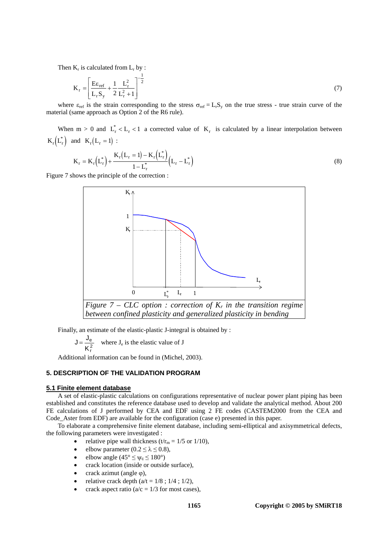Then  $K_r$  is calculated from  $L_r$  by :

$$
K_r = \left[\frac{E\varepsilon_{ref}}{L_r S_y} + \frac{1}{2} \frac{L_r^2}{L_r^2 + 1}\right]^{-\frac{1}{2}}
$$
(7)

where  $\varepsilon_{ref}$  is the strain corresponding to the stress  $\sigma_{ref} = L_r S_v$  on the true stress - true strain curve of the material (same approach as Option 2 of the R6 rule).

When m > 0 and  $L_r^* < L_r < 1$  a corrected value of  $K_r$  is calculated by a linear interpolation between  $K_r(L_r^*)$  and  $K_r(L_r = 1)$ :

$$
K_{r} = K_{r}(L_{r}^{*}) + \frac{K_{r}(L_{r} = 1) - K_{r}(L_{r}^{*})}{1 - L_{r}^{*}}(L_{r} - L_{r}^{*})
$$
\n(8)

Figure 7 shows the principle of the correction :



Finally, an estimate of the elastic-plastic J-integral is obtained by :

 $J = -$ K e  $=\frac{e}{K_f^2}$  where J<sub>e</sub> is the elastic value of J

Additional information can be found in (Michel, 2003).

# **5. DESCRIPTION OF THE VALIDATION PROGRAM**

#### **5.1 Finite element database**

A set of elastic-plastic calculations on configurations representative of nuclear power plant piping has been established and constitutes the reference database used to develop and validate the analytical method. About 200 FE calculations of J performed by CEA and EDF using 2 FE codes (CASTEM2000 from the CEA and Code\_Aster from EDF) are available for the configuration (case e) presented in this paper.

To elaborate a comprehensive finite element database, including semi-elliptical and axisymmetrical defects, the following parameters were investigated :

- relative pipe wall thickness (t/ $r_m = 1/5$  or 1/10),
- elbow parameter ( $0.2 \le \lambda \le 0.8$ ),
- elbow angle ( $45^{\circ} \leq \psi_c \leq 180^{\circ}$ )
- crack location (inside or outside surface),
- crack azimut (angle  $\varphi$ ),
- relative crack depth  $(a/t = 1/8; 1/4; 1/2)$ ,
- crack aspect ratio ( $a/c = 1/3$  for most cases),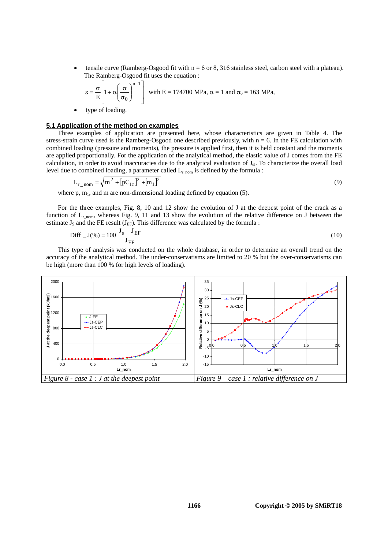tensile curve (Ramberg-Osgood fit with  $n = 6$  or 8, 316 stainless steel, carbon steel with a plateau). The Ramberg-Osgood fit uses the equation :

$$
\epsilon = \frac{\sigma}{E} \left[ 1 + \alpha \left( \frac{\sigma}{\sigma_0} \right)^{n-1} \right] \text{ with } E = 174700 \text{ MPa, } \alpha = 1 \text{ and } \sigma_0 = 163 \text{ MPa,}
$$

type of loading.

# **5.1 Application of the method on examples**

Three examples of application are presented here, whose characteristics are given in Table 4. The stress-strain curve used is the Ramberg-Osgood one described previously, with  $n = 6$ . In the FE calculation with combined loading (pressure and moments), the pressure is applied first, then it is held constant and the moments are applied proportionally. For the application of the analytical method, the elastic value of J comes from the FE calculation, in order to avoid inaccuracies due to the analytical evaluation of J<sub>el</sub>. To characterize the overall load level due to combined loading, a parameter called  $L_{r,nom}$  is defined by the formula :

$$
L_{r\_nom} = \sqrt{m^2 + [pC_{1c}]^2 + [m_1]^2}
$$
\n(9)

where  $p$ ,  $m_1$ , and  $m$  are non-dimensional loading defined by equation (5).

For the three examples, Fig. 8, 10 and 12 show the evolution of J at the deepest point of the crack as a function of  $L_{r,nom}$ , whereas Fig. 9, 11 and 13 show the evolution of the relative difference on J between the estimate  $J_s$  and the FE result ( $J_{EF}$ ). This difference was calculated by the formula :

$$
Diff_{-}J(\%) = 100 \frac{J_{s} - J_{EF}}{J_{EF}}
$$
 (10)

This type of analysis was conducted on the whole database, in order to determine an overall trend on the accuracy of the analytical method. The under-conservatisms are limited to 20 % but the over-conservatisms can be high (more than 100 % for high levels of loading).

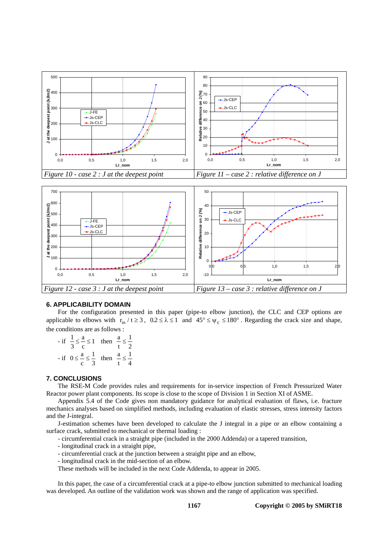



### **6. APPLICABILITY DOMAIN**

For the configuration presented in this paper (pipe-to elbow junction), the CLC and CEP options are applicable to elbows with  $r_m / t \ge 3$ ,  $0.2 \le \lambda \le 1$  and  $45^{\circ} \le \psi_c \le 180^{\circ}$ . Regarding the crack size and shape, the conditions are as follows :

 $-$  if  $\frac{1}{3} \leq \frac{a}{c} \leq 1$  then  $\frac{a}{t} \leq \frac{1}{2}$ 2 - if  $0 \le \frac{a}{c} \le \frac{1}{3}$  then  $\frac{a}{t} \le \frac{1}{4}$ 4

### **7. CONCLUSIONS**

The RSE-M Code provides rules and requirements for in-service inspection of French Pressurized Water Reactor power plant components. Its scope is close to the scope of Division 1 in Section XI of ASME.

Appendix 5.4 of the Code gives non mandatory guidance for analytical evaluation of flaws, i.e. fracture mechanics analyses based on simplified methods, including evaluation of elastic stresses, stress intensity factors and the J-integral.

J-estimation schemes have been developed to calculate the J integral in a pipe or an elbow containing a surface crack, submitted to mechanical or thermal loading :

- circumferential crack in a straight pipe (included in the 2000 Addenda) or a tapered transition,
- longitudinal crack in a straight pipe,
- circumferential crack at the junction between a straight pipe and an elbow,
- longitudinal crack in the mid-section of an elbow.

These methods will be included in the next Code Addenda, to appear in 2005.

In this paper, the case of a circumferential crack at a pipe-to elbow junction submitted to mechanical loading was developed. An outline of the validation work was shown and the range of application was specified.

**Copyright © 2005 by SMiRT18**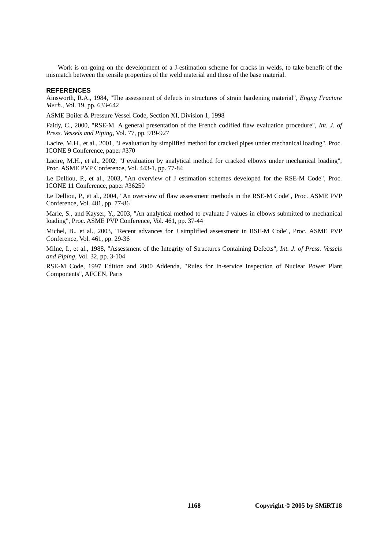Work is on-going on the development of a J-estimation scheme for cracks in welds, to take benefit of the mismatch between the tensile properties of the weld material and those of the base material.

#### **REFERENCES**

Ainsworth, R.A., 1984, "The assessment of defects in structures of strain hardening material", *Engng Fracture Mech.*, Vol. 19, pp. 633-642

ASME Boiler & Pressure Vessel Code, Section XI, Division 1, 1998

Faidy, C., 2000, "RSE-M. A general presentation of the French codified flaw evaluation procedure", *Int. J. of Press. Vessels and Piping*, Vol. 77, pp. 919-927

Lacire, M.H., et al., 2001, "J evaluation by simplified method for cracked pipes under mechanical loading", Proc. ICONE 9 Conference, paper #370

Lacire, M.H., et al., 2002, "J evaluation by analytical method for cracked elbows under mechanical loading", Proc. ASME PVP Conference, Vol. 443-1, pp. 77-84

Le Delliou, P., et al., 2003, "An overview of J estimation schemes developed for the RSE-M Code", Proc. ICONE 11 Conference, paper #36250

Le Delliou, P., et al., 2004, "An overview of flaw assessment methods in the RSE-M Code", Proc. ASME PVP Conference, Vol. 481, pp. 77-86

Marie, S., and Kayser, Y., 2003, "An analytical method to evaluate J values in elbows submitted to mechanical loading", Proc. ASME PVP Conference, Vol. 461, pp. 37-44

Michel, B., et al., 2003, "Recent advances for J simplified assessment in RSE-M Code", Proc. ASME PVP Conference, Vol. 461, pp. 29-36

Milne, I., et al., 1988, "Assessment of the Integrity of Structures Containing Defects", *Int. J. of Press. Vessels and Piping*, Vol. 32, pp. 3-104

RSE-M Code, 1997 Edition and 2000 Addenda, "Rules for In-service Inspection of Nuclear Power Plant Components", AFCEN, Paris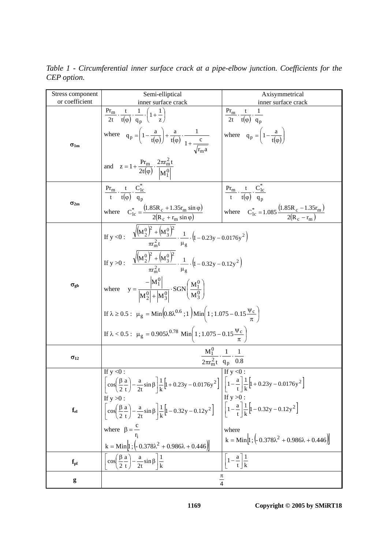| Stress component           | Semi-elliptical                                                                                                                                                                                                                                | Axisymmetrical                                                                                                        |  |  |  |
|----------------------------|------------------------------------------------------------------------------------------------------------------------------------------------------------------------------------------------------------------------------------------------|-----------------------------------------------------------------------------------------------------------------------|--|--|--|
| or coefficient             | inner surface crack                                                                                                                                                                                                                            | inner surface crack                                                                                                   |  |  |  |
| $\sigma_{1m}$              | $\frac{\Pr_{\text{m}}}{2t} \cdot \frac{t}{t(\omega)} \cdot \frac{1}{\alpha_{\text{n}}} \cdot \left(1 + \frac{1}{z}\right)$<br>where $q_p = \left(1 - \frac{a}{t(\varphi)}\right) + \frac{a}{t(\varphi)} \cdot \frac{1}{1 + \frac{c}{\varphi}}$ | $\frac{Pr_{m}}{2t} \cdot \frac{t}{t(\varphi)} \cdot \frac{1}{q_{n}}$<br>where $q_p = \left(1 - \frac{a}{t(p)}\right)$ |  |  |  |
|                            | and $z = 1 + \frac{Pr_m}{2t(\varphi)} \cdot \frac{2\pi r_m^2 t}{ M_1^0 }$                                                                                                                                                                      |                                                                                                                       |  |  |  |
| $\sigma_{2m}$              | $\frac{\Pr_{m}}{t} \cdot \frac{t}{t(n)} \cdot \frac{C_{1c}^{*}}{a}$                                                                                                                                                                            | $\frac{\Pr_{\text{m}}}{t} \cdot \frac{t}{t(\varphi)} \cdot \frac{C_{1c}}{q_{n}}$                                      |  |  |  |
|                            | where $C_{1c}^{*} = \frac{(1.85R_c + 1.35r_m \sin \varphi)}{2(R_c + r_m \sin \varphi)}$                                                                                                                                                        | where $C_{1c}^{*} = 1.085 \frac{(1.85R_c - 1.35r_m)}{2(R_c - r_m)}$                                                   |  |  |  |
|                            | If y <0: $\sqrt{(M_2^0)^2 + (M_3^0)^2} \cdot \frac{1}{\mu_2} \cdot (1 - 0.23y - 0.0176y^2)$                                                                                                                                                    |                                                                                                                       |  |  |  |
|                            | If y >0: $\sqrt{(M_2^0)^2 + (M_3^0)^2} \cdot \frac{1}{M} \cdot (1 - 0.32y - 0.12y^2)$                                                                                                                                                          |                                                                                                                       |  |  |  |
| $\sigma_{\text{gb}}$       | where $y = \frac{- M_1^0 }{ M_1^0  +  M_2^0 } \cdot SGN\left(\frac{M_1^0}{M_3^0}\right)$                                                                                                                                                       |                                                                                                                       |  |  |  |
|                            | If $\lambda \ge 0.5$ : $\mu_g = \text{Min}\left(0.8\lambda^{0.6} ; 1\right) \text{Min}\left(1 ; 1.075 - 0.15 \frac{\Psi_c}{\pi}\right)$                                                                                                        |                                                                                                                       |  |  |  |
|                            | If $\lambda < 0.5$ : $\mu_{g} = 0.905\lambda^{0.78}$ Min $\left(1; 1.075 - 0.15\frac{\Psi_{c}}{\pi}\right)$                                                                                                                                    |                                                                                                                       |  |  |  |
| $\sigma_{12}$              | $\frac{M_1^0}{2\pi r_m^2 t} \cdot \frac{1}{q_p} \cdot \frac{1}{0.8}$                                                                                                                                                                           |                                                                                                                       |  |  |  |
|                            | If $y < 0$ :<br>$\left[\cos\left(\frac{\beta}{2}\frac{a}{t}\right)-\frac{a}{2t}\sin\beta\right]\frac{1}{k}\left[1+0.23y-0.0176y^2\right]\left[\left[1-\frac{a}{t}\right]\frac{1}{k}\left[1+0.23y-0.0176y^2\right]\right]$                      | If $y < 0$ :                                                                                                          |  |  |  |
| $\mathbf{f}_{\mathrm{el}}$ | If $y > 0$ :<br>$\left[\cos\left(\frac{\beta}{2}\frac{a}{t}\right)-\frac{a}{2t}\sin\beta\right]\frac{1}{k}\left[1-0.32y-0.12y^2\right]$ $\left[\left[1-\frac{a}{t}\right]\frac{1}{k}\left[1-0.32y-0.12y^2\right]\right]$                       | If $y > 0$ :                                                                                                          |  |  |  |
|                            | where $\beta = \frac{c}{r_i}$<br>$k = Min \left[ 1; \left( -0.378 \lambda^2 + 0.986 \lambda + 0.446 \right) \right]$                                                                                                                           | where<br>$k = Min \left[ 1; \left( -0.378 \lambda^2 + 0.986 \lambda + 0.446 \right) \right]$                          |  |  |  |
| f <sub>pl</sub>            | $\cos\left(\frac{\beta}{2}\frac{a}{t}\right) - \frac{a}{2t}\sin\beta\left \frac{1}{k}\right $                                                                                                                                                  | $1-\frac{a}{t}\left \frac{1}{k}\right $                                                                               |  |  |  |
| g                          |                                                                                                                                                                                                                                                |                                                                                                                       |  |  |  |

*Table 1 - Circumferential inner surface crack at a pipe-elbow junction. Coefficients for the CEP option.*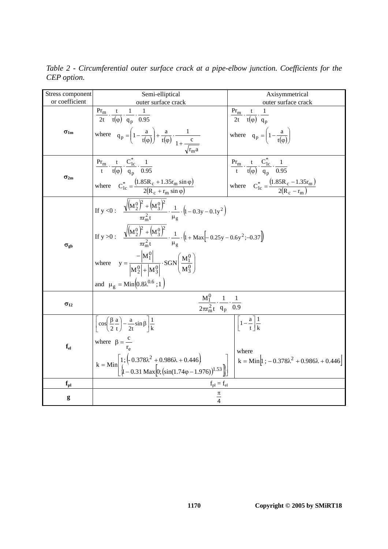| Stress component           | Semi-elliptical<br>Axisymmetrical                                                                                                                                                 |                                                                                                   |  |  |  |  |
|----------------------------|-----------------------------------------------------------------------------------------------------------------------------------------------------------------------------------|---------------------------------------------------------------------------------------------------|--|--|--|--|
| or coefficient             | outer surface crack                                                                                                                                                               | outer surface crack                                                                               |  |  |  |  |
|                            | $\frac{\Pr_{\rm m}}{2t} \cdot \frac{t}{t(\varphi)} \cdot \frac{1}{q_{\rm n}} \cdot \frac{1}{0.95}$                                                                                |                                                                                                   |  |  |  |  |
|                            |                                                                                                                                                                                   | $\frac{\Pr_{\rm m}}{2t} \cdot \frac{t}{t(\varphi)} \cdot \frac{1}{q_{\rm n}}$                     |  |  |  |  |
| $\sigma_{1m}$              | where $q_p = \left(1 - \frac{a}{t(\varphi)}\right) + \frac{a}{t(\varphi)} \cdot \frac{1}{1 + \frac{c}{\sqrt{c}}}}$                                                                | where $q_p = \left(1 - \frac{a}{t(n)}\right)$                                                     |  |  |  |  |
|                            |                                                                                                                                                                                   |                                                                                                   |  |  |  |  |
|                            | $\frac{\Pr_{m}}{t} \cdot \frac{t}{t(\varphi)} \cdot \frac{C_{1c}^{*}}{a_{n}} \cdot \frac{1}{0.95}$                                                                                | $\frac{Pr_{m}}{t} \cdot \frac{t}{t(\varphi)} \cdot \frac{C_{1c}^{*}}{q_{n}} \cdot \frac{1}{0.95}$ |  |  |  |  |
| $\sigma_{2m}$              |                                                                                                                                                                                   |                                                                                                   |  |  |  |  |
|                            | where $C_{1c}^{*} = \frac{(1.85R_{c} + 1.35r_{m} \sin \varphi)}{2(R_{c} + r_{m} \sin \varphi)}$                                                                                   | where $C_{1c}^{*} = \frac{(1.85R_c - 1.35r_m)}{2(R_c - r_m)}$                                     |  |  |  |  |
|                            |                                                                                                                                                                                   |                                                                                                   |  |  |  |  |
|                            | If y <0: $\frac{\sqrt{(M_2^0)^2 + (M_3^0)^2}}{\pi r^2 t} \cdot \frac{1}{\mu_2} \cdot (1 - 0.3y - 0.1y^2)$                                                                         |                                                                                                   |  |  |  |  |
| $\sigma_{\rm gb}$          |                                                                                                                                                                                   |                                                                                                   |  |  |  |  |
|                            | If y >0: $\frac{\sqrt{(M_2^0)^2 + (M_3^0)^2}}{\pi r^2 t} \cdot \frac{1}{\mu_r} \cdot (1 + \text{Max}[-0.25y - 0.6y^2; -0.37])$                                                    |                                                                                                   |  |  |  |  |
|                            |                                                                                                                                                                                   |                                                                                                   |  |  |  |  |
|                            | where $y = \frac{- M_1^0 }{ M_2^0  +  M_3^0 } \cdot SGN\left(\frac{M_1^0}{M_3^0}\right)$                                                                                          |                                                                                                   |  |  |  |  |
|                            | and $\mu_g = \text{Min}\left(0.8\lambda^{0.6} ; 1\right)$                                                                                                                         |                                                                                                   |  |  |  |  |
|                            |                                                                                                                                                                                   |                                                                                                   |  |  |  |  |
| $\sigma_{12}$              | $rac{M_1^0}{2\pi r_m^2 t} \cdot \frac{1}{q_p} \cdot \frac{1}{0.9}$                                                                                                                |                                                                                                   |  |  |  |  |
|                            | $\left  \cos \left( \frac{\beta a}{2 t} \right) - \frac{a}{2 t} \sin \beta \right  \frac{1}{k}$                                                                                   | $\left[\left[1-\frac{a}{t}\right]\frac{1}{k}\right]$                                              |  |  |  |  |
| $\mathbf{f}_{\mathrm{el}}$ |                                                                                                                                                                                   |                                                                                                   |  |  |  |  |
|                            | where $\beta = \frac{c}{r_{0}}$                                                                                                                                                   |                                                                                                   |  |  |  |  |
|                            |                                                                                                                                                                                   | where                                                                                             |  |  |  |  |
|                            | $k = Min \left[ 1; \left( 0.378\lambda^2 + 0.986\lambda + 0.446 \right) \atop \left[ 1 - 0.31 \text{ Max} \left[ 0; \left( \sin(1.74\phi - 1.976) \right)^{1.53} \right] \right]$ | $k = Min[1; -0.378\lambda^2 + 0.986\lambda + 0.446]$                                              |  |  |  |  |
|                            |                                                                                                                                                                                   |                                                                                                   |  |  |  |  |
| $f_{\rm pl}$               | $f_{pl} = f_{el}$                                                                                                                                                                 |                                                                                                   |  |  |  |  |
| g                          | $\frac{\pi}{4}$                                                                                                                                                                   |                                                                                                   |  |  |  |  |

*Table 2 - Circumferential outer surface crack at a pipe-elbow junction. Coefficients for the CEP option.*